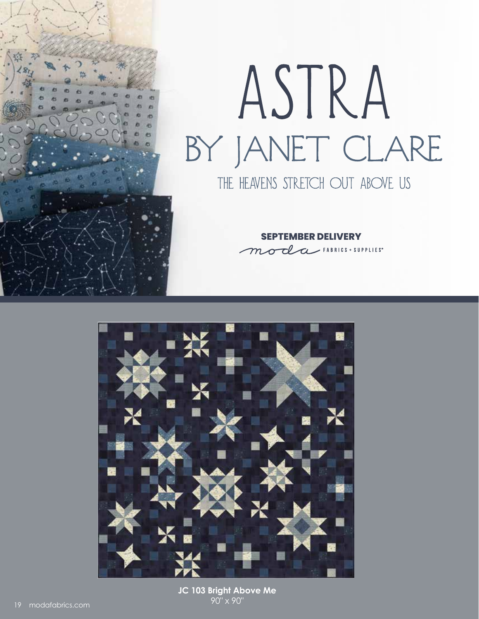

## ASTRA BY JANET CLARE THE HEAVENS STRETCH OUT ABOVE US

**SEPTEMBER DELIVERY** moda FABRICS + SUPPLIES\*



**JC 103 Bright Above Me** 90" x 90"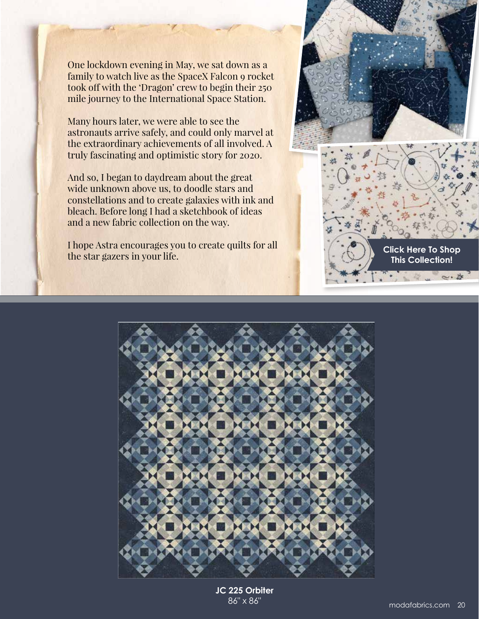One lockdown evening in May, we sat down as a family to watch live as the SpaceX Falcon 9 rocket took off with the 'Dragon' crew to begin their 250 mile journey to the International Space Station.

Many hours later, we were able to see the astronauts arrive safely, and could only marvel at the extraordinary achievements of all involved. A truly fascinating and optimistic story for 2020.

And so, I began to daydream about the great wide unknown above us, to doodle stars and constellations and to create galaxies with ink and bleach. Before long I had a sketchbook of ideas and a new fabric collection on the way.

I hope Astra encourages you to create quilts for all the star gazers in your life.



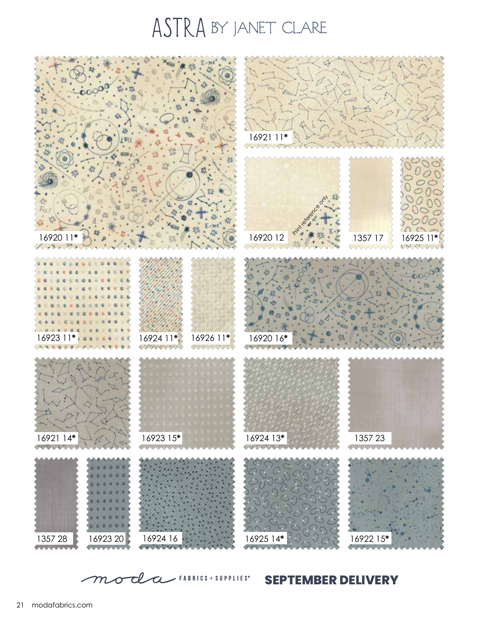## ASTRA BY JANET CLARE



moda FABRICS + SUPPLIES" **SEPTEMBER DELIVERY**